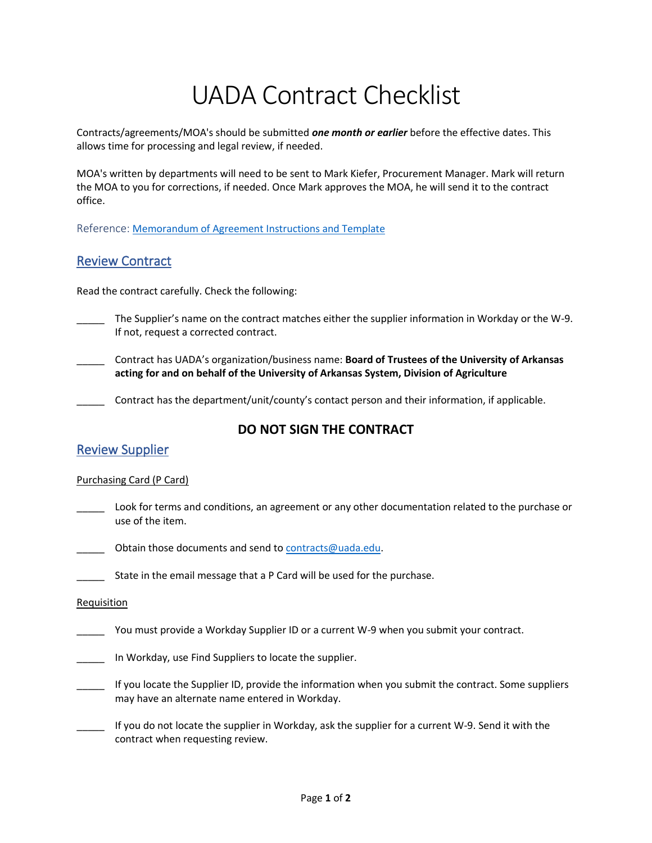# UADA Contract Checklist

Contracts/agreements/MOA's should be submitted *one month or earlier* before the effective dates. This allows time for processing and legal review, if needed.

MOA's written by departments will need to be sent to Mark Kiefer, Procurement Manager. Mark will return the MOA to you for corrections, if needed. Once Mark approves the MOA, he will send it to the contract office.

Reference: [Memorandum of Agreement Instructions and Template](https://uada.edu/employees/business-office/finance/Memorandum%20of%20Agreement%20Instructions.docx)

# Review Contract

Read the contract carefully. Check the following:

- The Supplier's name on the contract matches either the supplier information in Workday or the W-9. If not, request a corrected contract.
- \_\_\_\_\_ Contract has UADA's organization/business name: **Board of Trustees of the University of Arkansas acting for and on behalf of the University of Arkansas System, Division of Agriculture**

Contract has the department/unit/county's contact person and their information, if applicable.

# **DO NOT SIGN THE CONTRACT**

# Review Supplier

#### Purchasing Card (P Card)

\_\_\_\_\_ Look for terms and conditions, an agreement or any other documentation related to the purchase or use of the item.

Obtain those documents and send to [contracts@uada.edu.](mailto:contracts@uada.edu)

\_\_\_\_\_ State in the email message that a P Card will be used for the purchase.

#### **Requisition**

You must provide a Workday Supplier ID or a current W-9 when you submit your contract.

\_\_\_\_\_ In Workday, use Find Suppliers to locate the supplier.

- \_\_\_\_\_ If you locate the Supplier ID, provide the information when you submit the contract. Some suppliers may have an alternate name entered in Workday.
- If you do not locate the supplier in Workday, ask the supplier for a current W-9. Send it with the contract when requesting review.